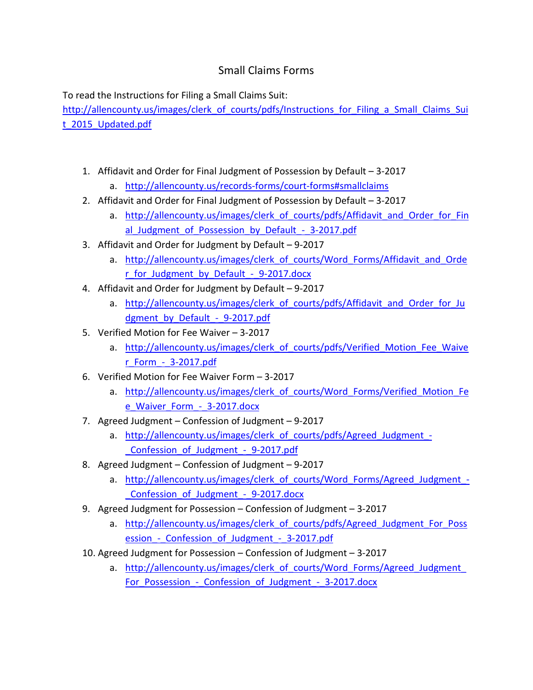## Small Claims Forms

To read the Instructions for Filing a Small Claims Suit:

[http://allencounty.us/images/clerk\\_of\\_courts/pdfs/Instructions\\_for\\_Filing\\_a\\_Small\\_Claims\\_Sui](http://allencounty.us/images/clerk_of_courts/pdfs/Instructions_for_Filing_a_Small_Claims_Suit_2015_Updated.pdf) t 2015 Updated.pdf

- 1. Affidavit and Order for Final Judgment of Possession by Default 3-2017
	- a. <http://allencounty.us/records-forms/court-forms#smallclaims>
- 2. Affidavit and Order for Final Judgment of Possession by Default 3-2017
	- a. http://allencounty.us/images/clerk of courts/pdfs/Affidavit and Order for Fin al Judgment of Possession by Default - 3-2017.pdf
- 3. Affidavit and Order for Judgment by Default 9-2017
	- a. http://allencounty.us/images/clerk of courts/Word Forms/Affidavit and Orde [r\\_for\\_Judgment\\_by\\_Default\\_-\\_9-2017.docx](http://allencounty.us/images/clerk_of_courts/Word_Forms/Affidavit_and_Order_for_Judgment_by_Default_-_9-2017.docx)
- 4. Affidavit and Order for Judgment by Default 9-2017
	- a. http://allencounty.us/images/clerk of courts/pdfs/Affidavit and Order for Ju dgment\_by\_Default - 9-2017.pdf
- 5. Verified Motion for Fee Waiver 3-2017
	- a. http://allencounty.us/images/clerk of courts/pdfs/Verified Motion Fee Waive [r\\_Form\\_-\\_3-2017.pdf](http://allencounty.us/images/clerk_of_courts/pdfs/Verified_Motion_Fee_Waiver_Form_-_3-2017.pdf)
- 6. Verified Motion for Fee Waiver Form 3-2017
	- a. http://allencounty.us/images/clerk of courts/Word Forms/Verified Motion Fe [e\\_Waiver\\_Form\\_-\\_3-2017.docx](http://allencounty.us/images/clerk_of_courts/Word_Forms/Verified_Motion_Fee_Waiver_Form_-_3-2017.docx)
- 7. Agreed Judgment Confession of Judgment 9-2017
	- a. http://allencounty.us/images/clerk of courts/pdfs/Agreed Judgment -Confession of Judgment - 9-2017.pdf
- 8. Agreed Judgment Confession of Judgment 9-2017
	- a. [http://allencounty.us/images/clerk\\_of\\_courts/Word\\_Forms/Agreed\\_Judgment\\_-](http://allencounty.us/images/clerk_of_courts/Word_Forms/Agreed_Judgment_-_Confession_of_Judgment_-_9-2017.docx) Confession of Judgment - 9-2017.docx
- 9. Agreed Judgment for Possession Confession of Judgment 3-2017
	- a. [http://allencounty.us/images/clerk\\_of\\_courts/pdfs/Agreed\\_Judgment\\_For\\_Poss](http://allencounty.us/images/clerk_of_courts/pdfs/Agreed_Judgment_For_Possession_-_Confession_of_Judgment_-_3-2017.pdf) ession - Confession of Judgment - 3-2017.pdf
- 10. Agreed Judgment for Possession Confession of Judgment 3-2017
	- a. http://allencounty.us/images/clerk of courts/Word Forms/Agreed Judgment For Possession - Confession of Judgment - 3-2017.docx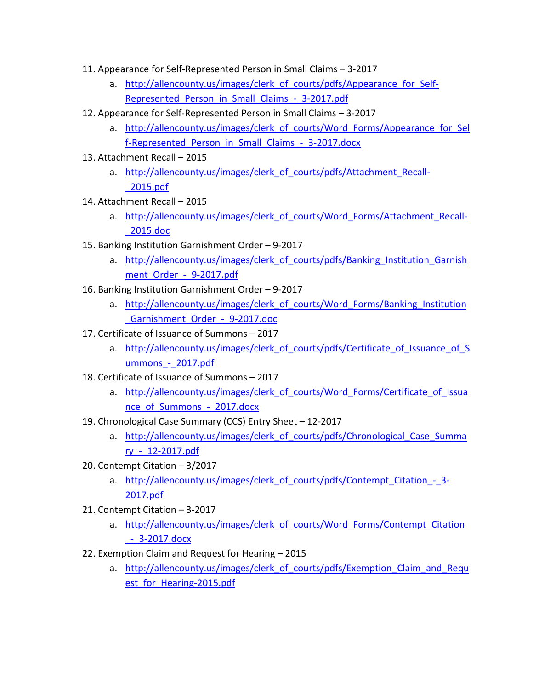- 11. Appearance for Self-Represented Person in Small Claims 3-2017
	- a. http://allencounty.us/images/clerk of courts/pdfs/Appearance for Self-Represented Person in Small Claims - 3-2017.pdf
- 12. Appearance for Self-Represented Person in Small Claims 3-2017
	- a. http://allencounty.us/images/clerk of courts/Word Forms/Appearance for Sel f-Represented Person in Small Claims - 3-2017.docx
- 13. Attachment Recall 2015
	- a. [http://allencounty.us/images/clerk\\_of\\_courts/pdfs/Attachment\\_Recall-](http://allencounty.us/images/clerk_of_courts/pdfs/Attachment_Recall-_2015.pdf) [\\_2015.pdf](http://allencounty.us/images/clerk_of_courts/pdfs/Attachment_Recall-_2015.pdf)
- 14. Attachment Recall 2015
	- a. http://allencounty.us/images/clerk of courts/Word Forms/Attachment Recall-[\\_2015.doc](http://allencounty.us/images/clerk_of_courts/Word_Forms/Attachment_Recall-_2015.doc)
- 15. Banking Institution Garnishment Order 9-2017
	- a. http://allencounty.us/images/clerk of courts/pdfs/Banking Institution Garnish ment Order - 9-2017.pdf
- 16. Banking Institution Garnishment Order 9-2017
	- a. http://allencounty.us/images/clerk of courts/Word Forms/Banking Institution Garnishment Order - 9-2017.doc
- 17. Certificate of Issuance of Summons 2017
	- a. http://allencounty.us/images/clerk of courts/pdfs/Certificate of Issuance of S [ummons\\_-\\_2017.pdf](http://allencounty.us/images/clerk_of_courts/pdfs/Certificate_of_Issuance_of_Summons_-_2017.pdf)
- 18. Certificate of Issuance of Summons 2017
	- a. http://allencounty.us/images/clerk of courts/Word Forms/Certificate of Issua nce\_of\_Summons -\_2017.docx
- 19. Chronological Case Summary (CCS) Entry Sheet 12-2017
	- a. http://allencounty.us/images/clerk of courts/pdfs/Chronological Case Summa [ry\\_-\\_12-2017.pdf](http://allencounty.us/images/clerk_of_courts/pdfs/Chronological_Case_Summary_-_12-2017.pdf)
- 20. Contempt Citation 3/2017
	- a. http://allencounty.us/images/clerk of courts/pdfs/Contempt Citation 3-[2017.pdf](http://allencounty.us/images/clerk_of_courts/pdfs/Contempt_Citation_-_3-2017.pdf)
- 21. Contempt Citation 3-2017
	- a. http://allencounty.us/images/clerk of courts/Word Forms/Contempt Citation [\\_-\\_3-2017.docx](http://allencounty.us/images/clerk_of_courts/Word_Forms/Contempt_Citation_-_3-2017.docx)
- 22. Exemption Claim and Request for Hearing 2015
	- a. http://allencounty.us/images/clerk of courts/pdfs/Exemption Claim and Requ est for Hearing-2015.pdf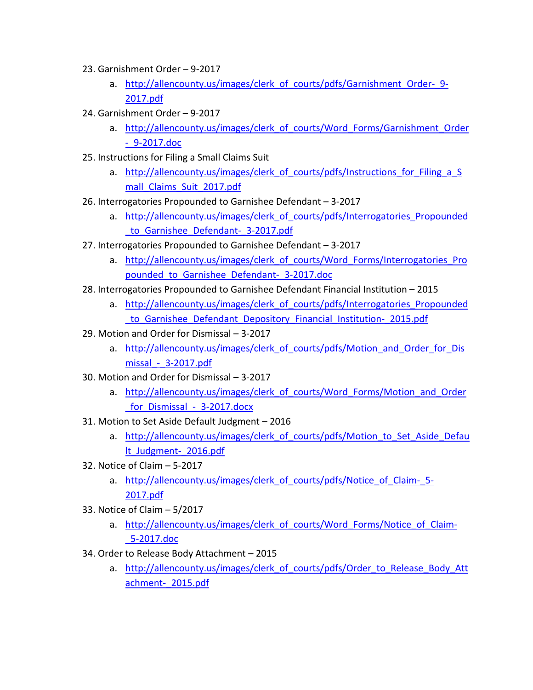- 23. Garnishment Order 9-2017
	- a. http://allencounty.us/images/clerk of courts/pdfs/Garnishment Order- 9-[2017.pdf](http://allencounty.us/images/clerk_of_courts/pdfs/Garnishment_Order-_9-2017.pdf)
- 24. Garnishment Order 9-2017
	- a. http://allencounty.us/images/clerk of courts/Word Forms/Garnishment Order [-\\_9-2017.doc](http://allencounty.us/images/clerk_of_courts/Word_Forms/Garnishment_Order-_9-2017.doc)
- 25. Instructions for Filing a Small Claims Suit
	- a. http://allencounty.us/images/clerk of courts/pdfs/Instructions for Filing a S [mall\\_Claims\\_Suit\\_2017.pdf](http://allencounty.us/images/clerk_of_courts/pdfs/Instructions_for_Filing_a_Small_Claims_Suit_2017.pdf)
- 26. Interrogatories Propounded to Garnishee Defendant 3-2017
	- a. [http://allencounty.us/images/clerk\\_of\\_courts/pdfs/Interrogatories\\_Propounded](http://allencounty.us/images/clerk_of_courts/pdfs/Interrogatories_Propounded_to_Garnishee_Defendant-_3-2017.pdf) to Garnishee Defendant- 3-2017.pdf
- 27. Interrogatories Propounded to Garnishee Defendant 3-2017
	- a. [http://allencounty.us/images/clerk\\_of\\_courts/Word\\_Forms/Interrogatories\\_Pro](http://allencounty.us/images/clerk_of_courts/Word_Forms/Interrogatories_Propounded_to_Garnishee_Defendant-_3-2017.doc) pounded to Garnishee Defendant- 3-2017.doc
- 28. Interrogatories Propounded to Garnishee Defendant Financial Institution 2015
	- a. http://allencounty.us/images/clerk of courts/pdfs/Interrogatories Propounded [\\_to\\_Garnishee\\_Defendant\\_Depository\\_Financial\\_Institution-\\_2015.pdf](http://allencounty.us/images/clerk_of_courts/pdfs/Interrogatories_Propounded_to_Garnishee_Defendant_Depository_Financial_Institution-_2015.pdf)
- 29. Motion and Order for Dismissal 3-2017
	- a. http://allencounty.us/images/clerk of courts/pdfs/Motion and Order for Dis [missal\\_-\\_3-2017.pdf](http://allencounty.us/images/clerk_of_courts/pdfs/Motion_and_Order_for_Dismissal_-_3-2017.pdf)
- 30. Motion and Order for Dismissal 3-2017
	- a. http://allencounty.us/images/clerk of courts/Word Forms/Motion and Order for Dismissal - 3-2017.docx
- 31. Motion to Set Aside Default Judgment 2016
	- a. http://allencounty.us/images/clerk of courts/pdfs/Motion to Set Aside Defau [lt\\_Judgment-\\_2016.pdf](http://allencounty.us/images/clerk_of_courts/pdfs/Motion_to_Set_Aside_Default_Judgment-_2016.pdf)
- 32. Notice of Claim 5-2017
	- a. http://allencounty.us/images/clerk of courts/pdfs/Notice of Claim- 5-[2017.pdf](http://allencounty.us/images/clerk_of_courts/pdfs/Notice_of_Claim-_5-2017.pdf)
- 33. Notice of Claim 5/2017
	- a. http://allencounty.us/images/clerk of courts/Word Forms/Notice of Claim-[\\_5-2017.doc](http://allencounty.us/images/clerk_of_courts/Word_Forms/Notice_of_Claim-_5-2017.doc)
- 34. Order to Release Body Attachment 2015
	- a. http://allencounty.us/images/clerk of courts/pdfs/Order to Release Body Att [achment-\\_2015.pdf](http://allencounty.us/images/clerk_of_courts/pdfs/Order_to_Release_Body_Attachment-_2015.pdf)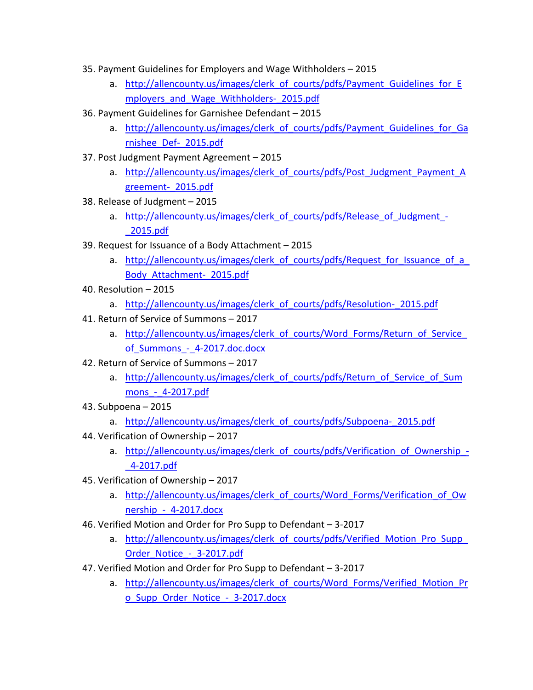- 35. Payment Guidelines for Employers and Wage Withholders 2015
	- a. http://allencounty.us/images/clerk of courts/pdfs/Payment Guidelines for E mployers and Wage Withholders- 2015.pdf
- 36. Payment Guidelines for Garnishee Defendant 2015
	- a. http://allencounty.us/images/clerk of courts/pdfs/Payment Guidelines for Ga [rnishee\\_Def-\\_2015.pdf](http://allencounty.us/images/clerk_of_courts/pdfs/Payment_Guidelines_for_Garnishee_Def-_2015.pdf)
- 37. Post Judgment Payment Agreement 2015
	- a. http://allencounty.us/images/clerk of courts/pdfs/Post Judgment Payment A [greement-\\_2015.pdf](http://allencounty.us/images/clerk_of_courts/pdfs/Post_Judgment_Payment_Agreement-_2015.pdf)
- 38. Release of Judgment 2015
	- a. http://allencounty.us/images/clerk of courts/pdfs/Release of Judgment -[\\_2015.pdf](http://allencounty.us/images/clerk_of_courts/pdfs/Release_of_Judgment_-_2015.pdf)
- 39. Request for Issuance of a Body Attachment 2015
	- a. http://allencounty.us/images/clerk of courts/pdfs/Request for Issuance of a [Body\\_Attachment-\\_2015.pdf](http://allencounty.us/images/clerk_of_courts/pdfs/Request_for_Issuance_of_a_Body_Attachment-_2015.pdf)
- 40. Resolution 2015
	- a. [http://allencounty.us/images/clerk\\_of\\_courts/pdfs/Resolution-\\_2015.pdf](http://allencounty.us/images/clerk_of_courts/pdfs/Resolution-_2015.pdf)
- 41. Return of Service of Summons 2017
	- a. http://allencounty.us/images/clerk of courts/Word Forms/Return of Service of Summons - 4-2017.doc.docx
- 42. Return of Service of Summons 2017
	- a. [http://allencounty.us/images/clerk\\_of\\_courts/pdfs/Return\\_of\\_Service\\_of\\_Sum](http://allencounty.us/images/clerk_of_courts/pdfs/Return_of_Service_of_Summons_-_4-2017.pdf) [mons\\_-\\_4-2017.pdf](http://allencounty.us/images/clerk_of_courts/pdfs/Return_of_Service_of_Summons_-_4-2017.pdf)
- 43. Subpoena 2015
	- a. [http://allencounty.us/images/clerk\\_of\\_courts/pdfs/Subpoena-\\_2015.pdf](http://allencounty.us/images/clerk_of_courts/pdfs/Subpoena-_2015.pdf)
- 44. Verification of Ownership 2017
	- a. http://allencounty.us/images/clerk of courts/pdfs/Verification of Ownership -[\\_4-2017.pdf](http://allencounty.us/images/clerk_of_courts/pdfs/Verification_of_Ownership_-_4-2017.pdf)
- 45. Verification of Ownership 2017
	- a. http://allencounty.us/images/clerk of courts/Word Forms/Verification of Ow nership - 4-2017.docx
- 46. Verified Motion and Order for Pro Supp to Defendant 3-2017
	- a. http://allencounty.us/images/clerk of courts/pdfs/Verified Motion Pro Supp Order\_Notice\_ - 3-2017.pdf
- 47. Verified Motion and Order for Pro Supp to Defendant 3-2017
	- a. http://allencounty.us/images/clerk of courts/Word Forms/Verified Motion Pr o Supp Order Notice - 3-2017.docx